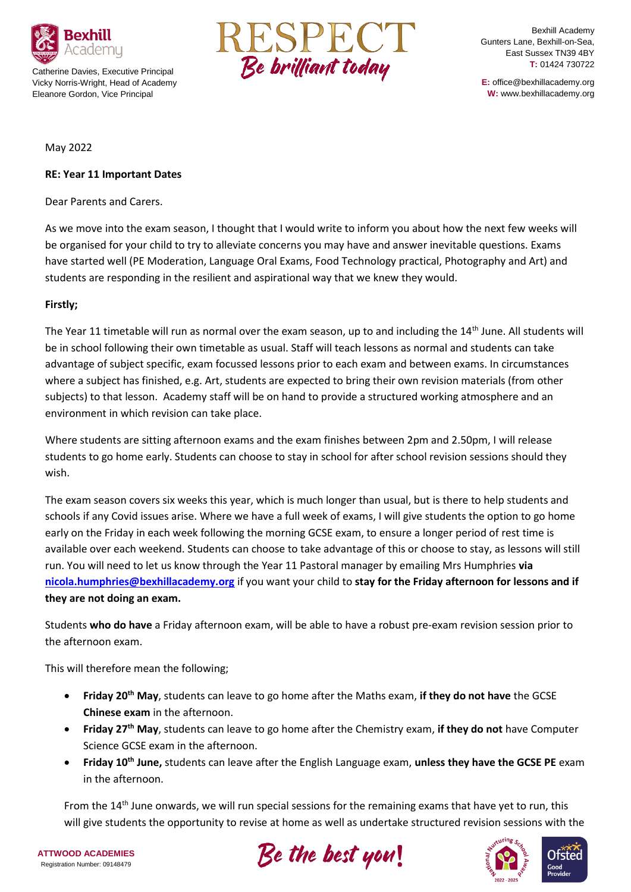

Catherine Davies, Executive Principal Vicky Norris-Wright, Head of Academy Eleanore Gordon, Vice Principal



Bexhill Academy Gunters Lane, Bexhill-on-Sea, East Sussex TN39 4BY **T:** 01424 730722

**E:** office@bexhillacademy.org **W:** www.bexhillacademy.org

#### May 2022

#### **RE: Year 11 Important Dates**

Dear Parents and Carers.

As we move into the exam season, I thought that I would write to inform you about how the next few weeks will be organised for your child to try to alleviate concerns you may have and answer inevitable questions. Exams have started well (PE Moderation, Language Oral Exams, Food Technology practical, Photography and Art) and students are responding in the resilient and aspirational way that we knew they would.

#### **Firstly;**

The Year 11 timetable will run as normal over the exam season, up to and including the 14th June. All students will be in school following their own timetable as usual. Staff will teach lessons as normal and students can take advantage of subject specific, exam focussed lessons prior to each exam and between exams. In circumstances where a subject has finished, e.g. Art, students are expected to bring their own revision materials (from other subjects) to that lesson. Academy staff will be on hand to provide a structured working atmosphere and an environment in which revision can take place.

Where students are sitting afternoon exams and the exam finishes between 2pm and 2.50pm, I will release students to go home early. Students can choose to stay in school for after school revision sessions should they wish.

The exam season covers six weeks this year, which is much longer than usual, but is there to help students and schools if any Covid issues arise. Where we have a full week of exams, I will give students the option to go home early on the Friday in each week following the morning GCSE exam, to ensure a longer period of rest time is available over each weekend. Students can choose to take advantage of this or choose to stay, as lessons will still run. You will need to let us know through the Year 11 Pastoral manager by emailing Mrs Humphries **via [nicola.humphries@bexhillacademy.org](mailto:nicola.humphries@bexhillacademy.org)** if you want your child to **stay for the Friday afternoon for lessons and if they are not doing an exam.**

Students **who do have** a Friday afternoon exam, will be able to have a robust pre-exam revision session prior to the afternoon exam.

This will therefore mean the following;

- **Friday 20th May**, students can leave to go home after the Maths exam, **if they do not have** the GCSE **Chinese exam** in the afternoon.
- **Friday 27th May**, students can leave to go home after the Chemistry exam, **if they do not** have Computer Science GCSE exam in the afternoon.
- **Friday 10th June,** students can leave after the English Language exam, **unless they have the GCSE PE** exam in the afternoon.

From the 14<sup>th</sup> June onwards, we will run special sessions for the remaining exams that have yet to run, this will give students the opportunity to revise at home as well as undertake structured revision sessions with the

**ATTWOOD ACADEMIES** Registration Number: 09148479





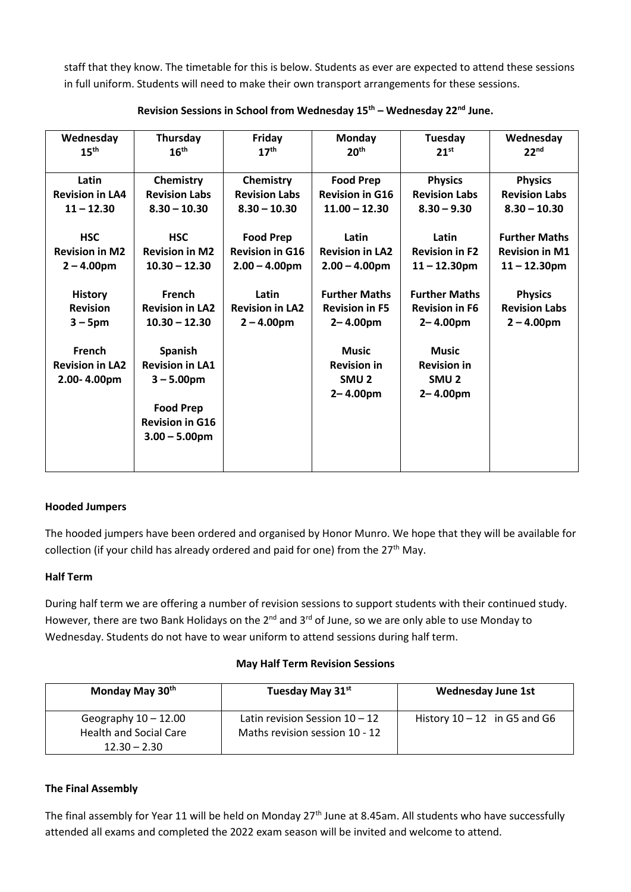staff that they know. The timetable for this is below. Students as ever are expected to attend these sessions in full uniform. Students will need to make their own transport arrangements for these sessions.

| Wednesday              | Thursday               | Friday                 | <b>Monday</b>          | Tuesday               | Wednesday             |
|------------------------|------------------------|------------------------|------------------------|-----------------------|-----------------------|
| 15 <sup>th</sup>       | 16 <sup>th</sup>       | 17 <sup>th</sup>       | 20 <sup>th</sup>       | 21 <sup>st</sup>      | 22 <sup>nd</sup>      |
|                        |                        |                        |                        |                       |                       |
| Latin                  | Chemistry              | Chemistry              | <b>Food Prep</b>       | <b>Physics</b>        | <b>Physics</b>        |
| <b>Revision in LA4</b> | <b>Revision Labs</b>   | <b>Revision Labs</b>   | <b>Revision in G16</b> | <b>Revision Labs</b>  | <b>Revision Labs</b>  |
| $11 - 12.30$           | $8.30 - 10.30$         | $8.30 - 10.30$         | $11.00 - 12.30$        | $8.30 - 9.30$         | $8.30 - 10.30$        |
|                        |                        |                        |                        |                       |                       |
| <b>HSC</b>             | <b>HSC</b>             | <b>Food Prep</b>       | Latin                  | Latin                 | <b>Further Maths</b>  |
| <b>Revision in M2</b>  | <b>Revision in M2</b>  | <b>Revision in G16</b> | <b>Revision in LA2</b> | <b>Revision in F2</b> | <b>Revision in M1</b> |
| $2 - 4.00$ pm          | $10.30 - 12.30$        | $2.00 - 4.00$ pm       | $2.00 - 4.00$ pm       | $11 - 12.30$ pm       | $11 - 12.30$ pm       |
|                        |                        |                        |                        |                       |                       |
| <b>History</b>         | <b>French</b>          | Latin                  | <b>Further Maths</b>   | <b>Further Maths</b>  | <b>Physics</b>        |
| <b>Revision</b>        | <b>Revision in LA2</b> | <b>Revision in LA2</b> | <b>Revision in F5</b>  | <b>Revision in F6</b> | <b>Revision Labs</b>  |
| $3 - 5$ pm             | $10.30 - 12.30$        | $2 - 4.00$ pm          | $2 - 4.00pm$           | $2 - 4.00pm$          | $2 - 4.00pm$          |
|                        |                        |                        |                        |                       |                       |
| French                 | Spanish                |                        | <b>Music</b>           | <b>Music</b>          |                       |
| <b>Revision in LA2</b> | <b>Revision in LA1</b> |                        | <b>Revision in</b>     | <b>Revision in</b>    |                       |
| 2.00-4.00pm            | $3 - 5.00$ pm          |                        | SMU <sub>2</sub>       | SMU <sub>2</sub>      |                       |
|                        |                        |                        | $2 - 4.00pm$           | $2 - 4.00pm$          |                       |
|                        | <b>Food Prep</b>       |                        |                        |                       |                       |
|                        | <b>Revision in G16</b> |                        |                        |                       |                       |
|                        | $3.00 - 5.00$ pm       |                        |                        |                       |                       |
|                        |                        |                        |                        |                       |                       |
|                        |                        |                        |                        |                       |                       |

# **Revision Sessions in School from Wednesday 15th – Wednesday 22nd June.**

## **Hooded Jumpers**

The hooded jumpers have been ordered and organised by Honor Munro. We hope that they will be available for collection (if your child has already ordered and paid for one) from the  $27<sup>th</sup>$  May.

## **Half Term**

During half term we are offering a number of revision sessions to support students with their continued study. However, there are two Bank Holidays on the 2<sup>nd</sup> and 3<sup>rd</sup> of June, so we are only able to use Monday to Wednesday. Students do not have to wear uniform to attend sessions during half term.

#### **May Half Term Revision Sessions**

| Monday May 30 <sup>th</sup>   | Tuesday May 31st                 | <b>Wednesday June 1st</b>      |
|-------------------------------|----------------------------------|--------------------------------|
| Geography $10 - 12.00$        | Latin revision Session $10 - 12$ | History $10 - 12$ in G5 and G6 |
| <b>Health and Social Care</b> | Maths revision session 10 - 12   |                                |
| $12.30 - 2.30$                |                                  |                                |

## **The Final Assembly**

The final assembly for Year 11 will be held on Monday 27<sup>th</sup> June at 8.45am. All students who have successfully attended all exams and completed the 2022 exam season will be invited and welcome to attend.